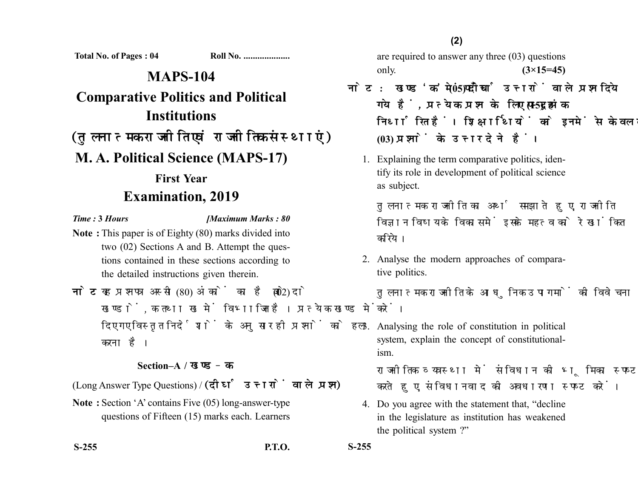**Total No. of Pages : 04 Roll No. ....................**

## **MAPS-104 Comparative Politics and Political Institutions** (तुलनात्मक राजनीति एवं राजनीतिक संस्थाएं) **M. A. Political Science (MAPS-17) First Year Examination, 2019**

## *Time :* **3** *Hours [Maximum Marks : 80*

- **Note :** This paper is of Eighty (80) marks divided into two (02) Sections A and B. Attempt the questions contained in these sections according to the detailed instructions given therein.
- नोट: यह प्रश्नपत्र अस्सी (80) अंकों का है जो दो (02) खण्डों. क तथा ख में विभाजित है। प्रत्येक खण्ड में दिए गए विस्तृत निर्देशों के अनुसार ही प्रश्नों को हल करना है।

## **Section–A /**

(Long Answer Type Questions) / (दीर्घ उत्तरों वाले प्रश्न)

**Note :** Section 'A' contains Five (05) long-answer-type questions of Fifteen (15) marks each. Learners

**S-255 P.T.O. S-255**

are required to answer any three (03) questions only. **(3×15=45)**

- <u>नोट: खण्ड 'क' में पाँच (05) दीर्घ उत्तरों वाले प्रश्न दिये</u> गये हैं, प्रत्येक प्रश्न के लिए पन्दह (15) अंक निर्धारित हैं। शिक्षार्थियों को इनमें से केवल तीन **(03)** 
	- 1. Explaining the term comparative politics, identify its role in development of political science as subject.

तुलनात्मक राजनीति का अर्थ समझाते हुए, राजनीति विज्ञान विषय के विकास में इसके महत्व को रेखांकित करिये।

2. Analyse the modern approaches of comparative politics.

तुलनात्मक राजनीति के आधुनिक उपागमों की विवेचना करें।

3. Analysing the role of constitution in political system, explain the concept of constitutionalism.

राजनीतिक व्यवस्था में संविधान की भमिका स्पष्ट करते हुए, संविधानवाद की अवधारणा स्पष्ट करें।

4. Do you agree with the statement that, "decline in the legislature as institution has weakened the political system ?"